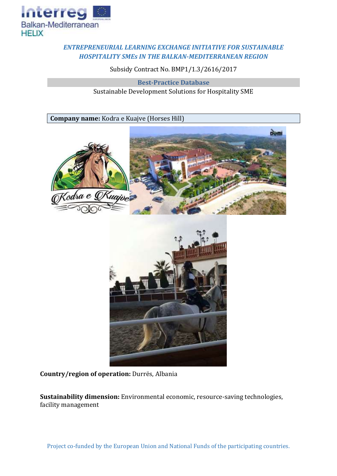

## *ENTREPRENEURIAL LEARNING EXCHANGE INITIATIVE FOR SUSTAINABLE HOSPITALITY SMEs IN THE BALKAN-MEDITERRANEAN REGION*

Subsidy Contract No. BMP1/1.3/2616/2017

**Best-Practice Database** Sustainable Development Solutions for Hospitality SME

**Company name:** Kodra e Kuajve (Horses Hill)





**Country/region of operation:** Durrës, Albania

**Sustainability dimension:** Environmental economic, resource-saving technologies, facility management

Project co-funded by the European Union and National Funds of the participating countries.